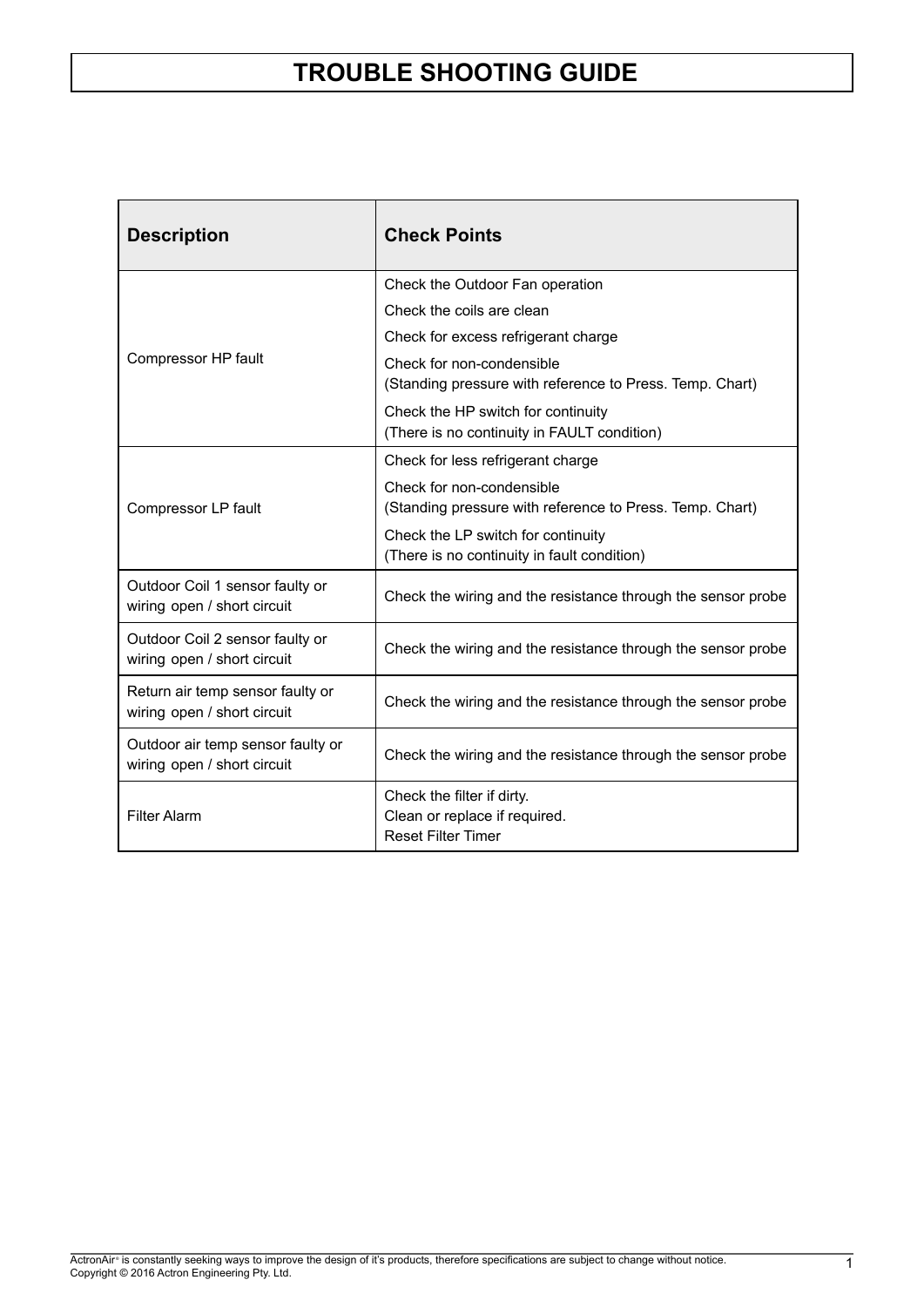×

| <b>Description</b>                                               | <b>Check Points</b>                                                                      |  |  |  |  |
|------------------------------------------------------------------|------------------------------------------------------------------------------------------|--|--|--|--|
|                                                                  | Check the Outdoor Fan operation                                                          |  |  |  |  |
|                                                                  | Check the coils are clean                                                                |  |  |  |  |
|                                                                  | Check for excess refrigerant charge                                                      |  |  |  |  |
| Compressor HP fault                                              | Check for non-condensible<br>(Standing pressure with reference to Press. Temp. Chart)    |  |  |  |  |
|                                                                  | Check the HP switch for continuity<br>(There is no continuity in FAULT condition)        |  |  |  |  |
|                                                                  | Check for less refrigerant charge                                                        |  |  |  |  |
| Compressor LP fault                                              | Check for non-condensible<br>(Standing pressure with reference to Press. Temp. Chart)    |  |  |  |  |
|                                                                  | Check the LP switch for continuity<br>(There is no continuity in fault condition)        |  |  |  |  |
| Outdoor Coil 1 sensor faulty or<br>wiring open / short circuit   | Check the wiring and the resistance through the sensor probe                             |  |  |  |  |
| Outdoor Coil 2 sensor faulty or<br>wiring open / short circuit   | Check the wiring and the resistance through the sensor probe                             |  |  |  |  |
| Return air temp sensor faulty or<br>wiring open / short circuit  | Check the wiring and the resistance through the sensor probe                             |  |  |  |  |
| Outdoor air temp sensor faulty or<br>wiring open / short circuit | Check the wiring and the resistance through the sensor probe                             |  |  |  |  |
| <b>Filter Alarm</b>                                              | Check the filter if dirty.<br>Clean or replace if required.<br><b>Reset Filter Timer</b> |  |  |  |  |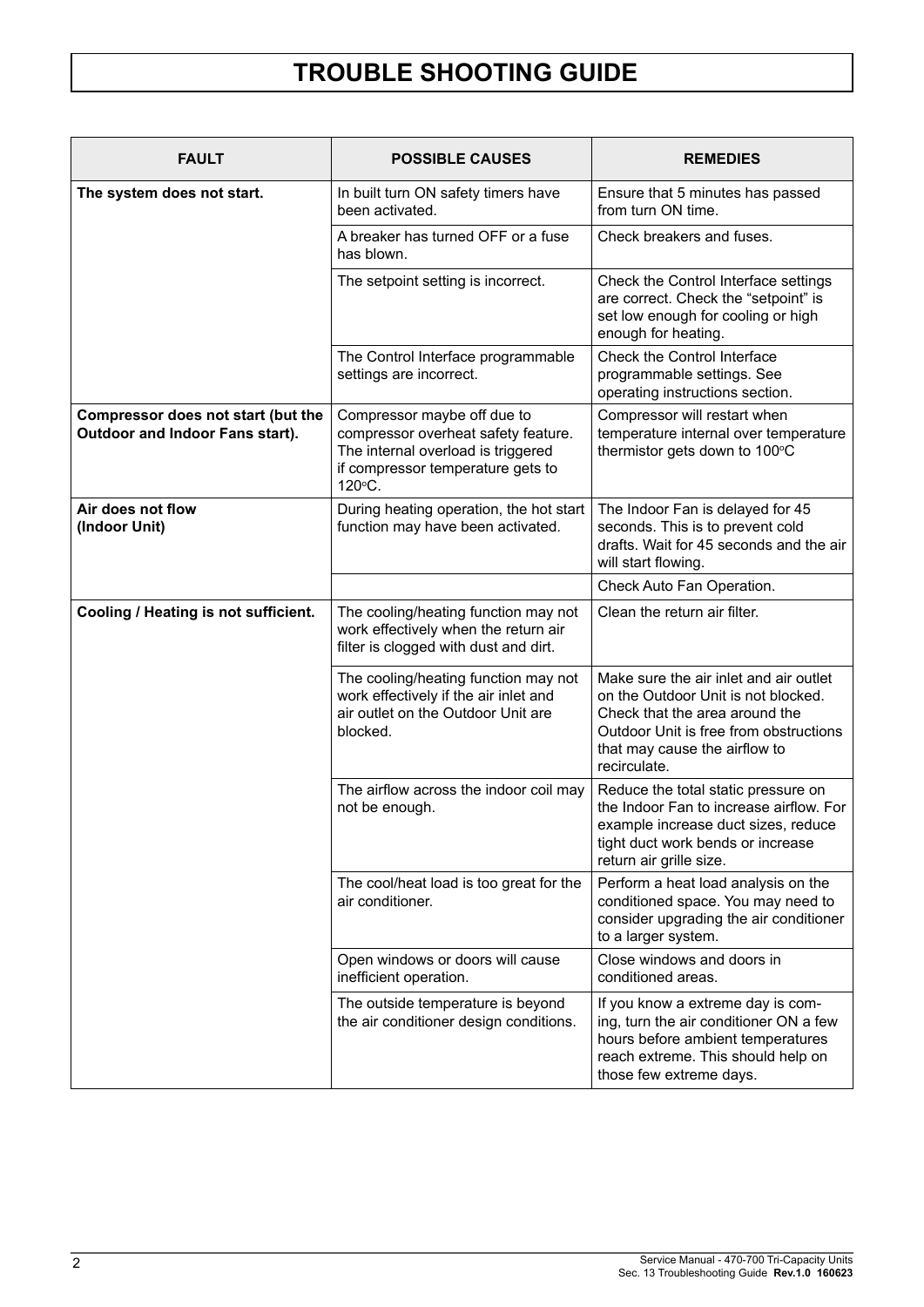| <b>FAULT</b>                                                          | <b>POSSIBLE CAUSES</b>                                                                                                                                  | <b>REMEDIES</b>                                                                                                                                                                                            |  |  |  |
|-----------------------------------------------------------------------|---------------------------------------------------------------------------------------------------------------------------------------------------------|------------------------------------------------------------------------------------------------------------------------------------------------------------------------------------------------------------|--|--|--|
| The system does not start.                                            | In built turn ON safety timers have<br>been activated.                                                                                                  | Ensure that 5 minutes has passed<br>from turn ON time.                                                                                                                                                     |  |  |  |
|                                                                       | A breaker has turned OFF or a fuse<br>has blown.                                                                                                        | Check breakers and fuses.                                                                                                                                                                                  |  |  |  |
|                                                                       | The setpoint setting is incorrect.                                                                                                                      | Check the Control Interface settings<br>are correct. Check the "setpoint" is<br>set low enough for cooling or high<br>enough for heating.                                                                  |  |  |  |
|                                                                       | The Control Interface programmable<br>settings are incorrect.                                                                                           | Check the Control Interface<br>programmable settings. See<br>operating instructions section.                                                                                                               |  |  |  |
| Compressor does not start (but the<br>Outdoor and Indoor Fans start). | Compressor maybe off due to<br>compressor overheat safety feature.<br>The internal overload is triggered<br>if compressor temperature gets to<br>120°C. | Compressor will restart when<br>temperature internal over temperature<br>thermistor gets down to 100°C                                                                                                     |  |  |  |
| Air does not flow<br>(Indoor Unit)                                    | During heating operation, the hot start<br>function may have been activated.                                                                            | The Indoor Fan is delayed for 45<br>seconds. This is to prevent cold<br>drafts. Wait for 45 seconds and the air<br>will start flowing.                                                                     |  |  |  |
|                                                                       |                                                                                                                                                         | Check Auto Fan Operation.                                                                                                                                                                                  |  |  |  |
| Cooling / Heating is not sufficient.                                  | The cooling/heating function may not<br>work effectively when the return air<br>filter is clogged with dust and dirt.                                   | Clean the return air filter.                                                                                                                                                                               |  |  |  |
|                                                                       | The cooling/heating function may not<br>work effectively if the air inlet and<br>air outlet on the Outdoor Unit are<br>blocked.                         | Make sure the air inlet and air outlet<br>on the Outdoor Unit is not blocked.<br>Check that the area around the<br>Outdoor Unit is free from obstructions<br>that may cause the airflow to<br>recirculate. |  |  |  |
|                                                                       | The airflow across the indoor coil may<br>not be enough.                                                                                                | Reduce the total static pressure on<br>the Indoor Fan to increase airflow. For<br>example increase duct sizes, reduce<br>tight duct work bends or increase<br>return air grille size.                      |  |  |  |
|                                                                       | The cool/heat load is too great for the<br>air conditioner.                                                                                             | Perform a heat load analysis on the<br>conditioned space. You may need to<br>consider upgrading the air conditioner<br>to a larger system.                                                                 |  |  |  |
|                                                                       | Open windows or doors will cause<br>inefficient operation.                                                                                              | Close windows and doors in<br>conditioned areas.                                                                                                                                                           |  |  |  |
|                                                                       | The outside temperature is beyond<br>the air conditioner design conditions.                                                                             | If you know a extreme day is com-<br>ing, turn the air conditioner ON a few<br>hours before ambient temperatures<br>reach extreme. This should help on<br>those few extreme days.                          |  |  |  |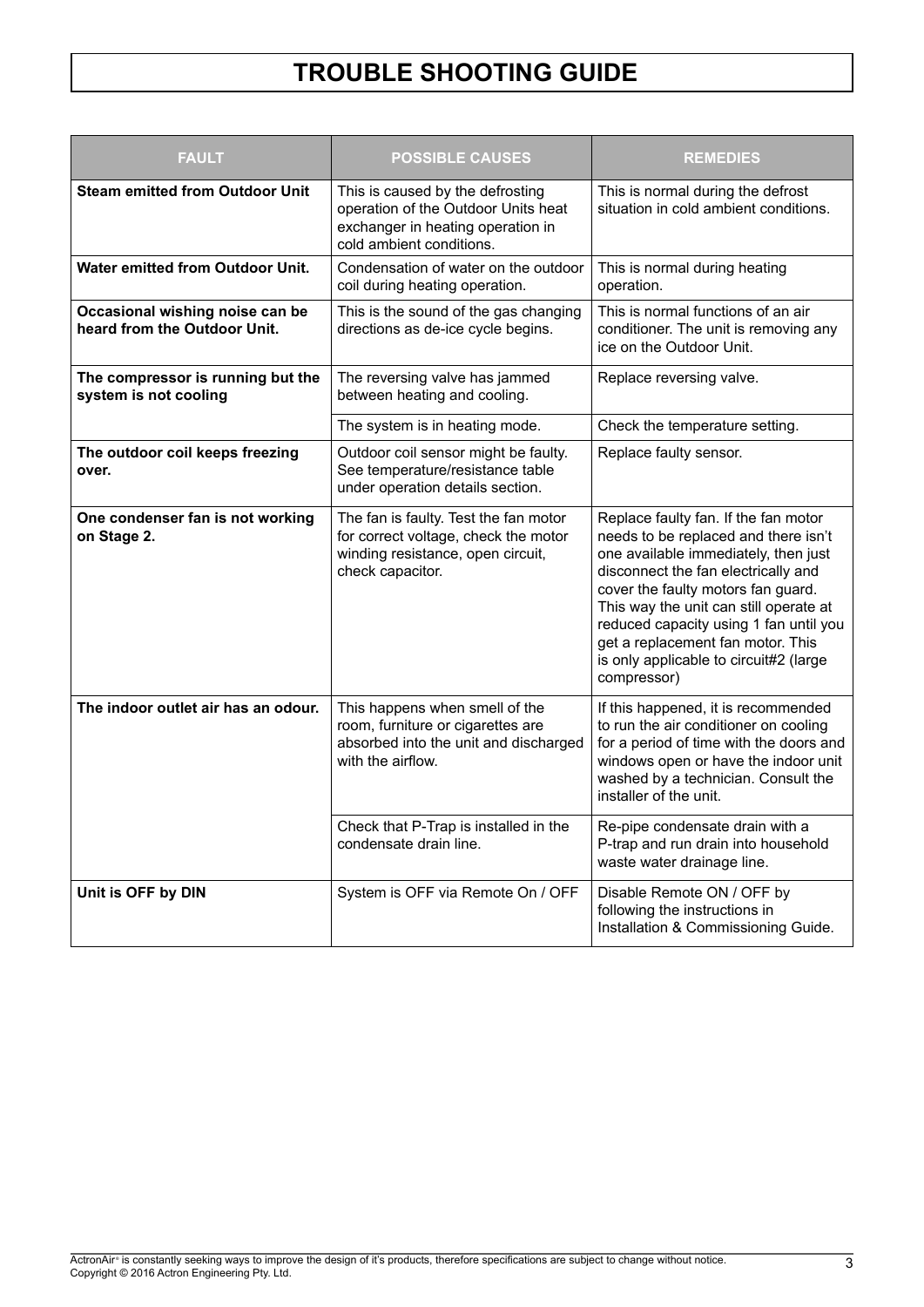| <b>FAULT</b>                                                    | <b>POSSIBLE CAUSES</b>                                                                                                                   | <b>REMEDIES</b>                                                                                                                                                                                                                                                                                                                                                                     |  |  |  |
|-----------------------------------------------------------------|------------------------------------------------------------------------------------------------------------------------------------------|-------------------------------------------------------------------------------------------------------------------------------------------------------------------------------------------------------------------------------------------------------------------------------------------------------------------------------------------------------------------------------------|--|--|--|
| <b>Steam emitted from Outdoor Unit</b>                          | This is caused by the defrosting<br>operation of the Outdoor Units heat<br>exchanger in heating operation in<br>cold ambient conditions. | This is normal during the defrost<br>situation in cold ambient conditions.                                                                                                                                                                                                                                                                                                          |  |  |  |
| <b>Water emitted from Outdoor Unit.</b>                         | Condensation of water on the outdoor<br>coil during heating operation.                                                                   | This is normal during heating<br>operation.                                                                                                                                                                                                                                                                                                                                         |  |  |  |
| Occasional wishing noise can be<br>heard from the Outdoor Unit. | This is the sound of the gas changing<br>directions as de-ice cycle begins.                                                              | This is normal functions of an air<br>conditioner. The unit is removing any<br>ice on the Outdoor Unit.                                                                                                                                                                                                                                                                             |  |  |  |
| The compressor is running but the<br>system is not cooling      | The reversing valve has jammed<br>between heating and cooling.                                                                           | Replace reversing valve.                                                                                                                                                                                                                                                                                                                                                            |  |  |  |
|                                                                 | The system is in heating mode.                                                                                                           | Check the temperature setting.                                                                                                                                                                                                                                                                                                                                                      |  |  |  |
| The outdoor coil keeps freezing<br>over.                        | Outdoor coil sensor might be faulty.<br>See temperature/resistance table<br>under operation details section.                             | Replace faulty sensor.                                                                                                                                                                                                                                                                                                                                                              |  |  |  |
| One condenser fan is not working<br>on Stage 2.                 | The fan is faulty. Test the fan motor<br>for correct voltage, check the motor<br>winding resistance, open circuit,<br>check capacitor.   | Replace faulty fan. If the fan motor<br>needs to be replaced and there isn't<br>one available immediately, then just<br>disconnect the fan electrically and<br>cover the faulty motors fan guard.<br>This way the unit can still operate at<br>reduced capacity using 1 fan until you<br>get a replacement fan motor. This<br>is only applicable to circuit#2 (large<br>compressor) |  |  |  |
| The indoor outlet air has an odour.                             | This happens when smell of the<br>room, furniture or cigarettes are<br>absorbed into the unit and discharged<br>with the airflow.        | If this happened, it is recommended<br>to run the air conditioner on cooling<br>for a period of time with the doors and<br>windows open or have the indoor unit<br>washed by a technician. Consult the<br>installer of the unit.                                                                                                                                                    |  |  |  |
|                                                                 | Check that P-Trap is installed in the<br>condensate drain line.                                                                          | Re-pipe condensate drain with a<br>P-trap and run drain into household<br>waste water drainage line.                                                                                                                                                                                                                                                                                |  |  |  |
| Unit is OFF by DIN                                              | System is OFF via Remote On / OFF                                                                                                        | Disable Remote ON / OFF by<br>following the instructions in<br>Installation & Commissioning Guide.                                                                                                                                                                                                                                                                                  |  |  |  |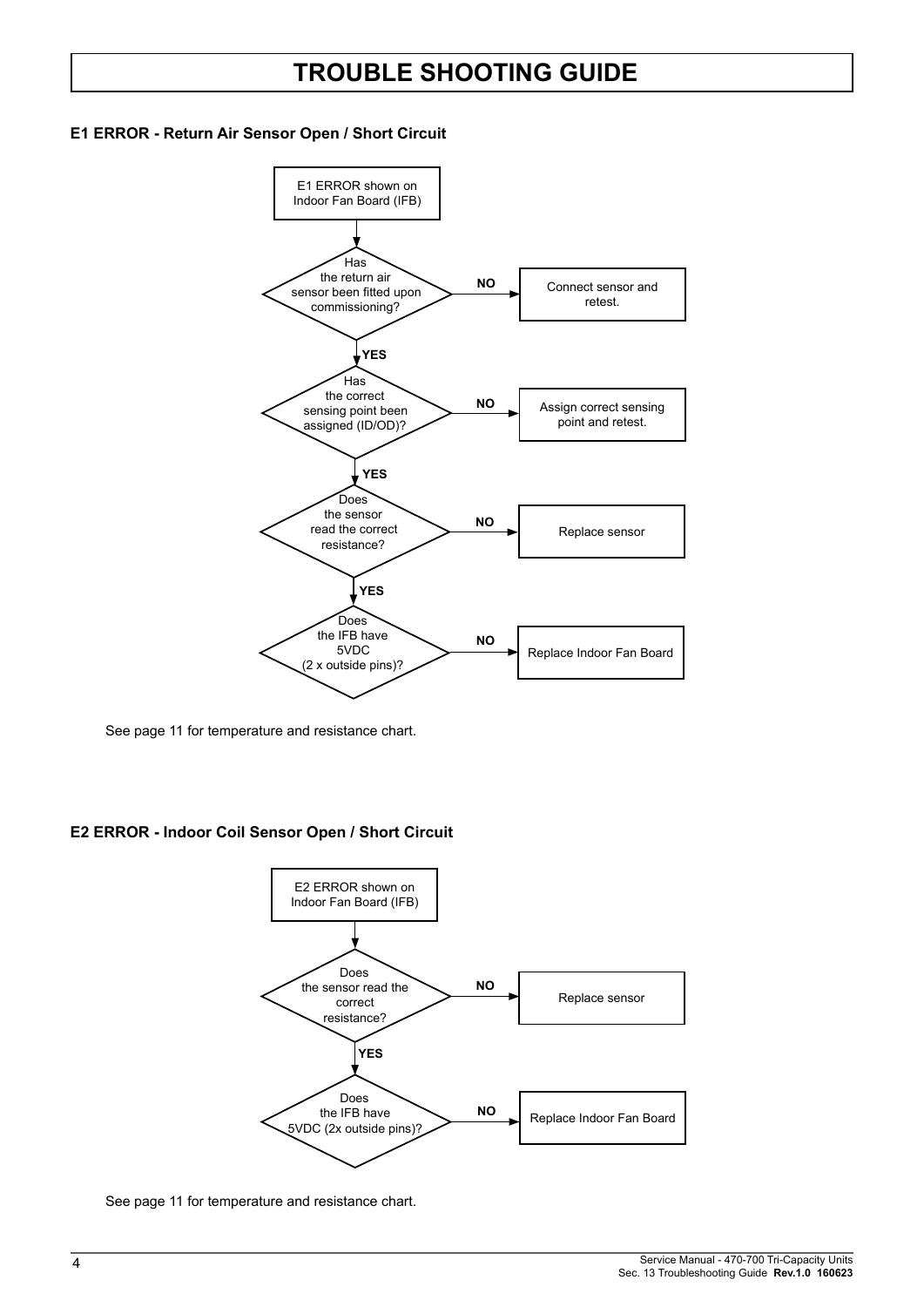#### **E1 ERROR - Return Air Sensor Open / Short Circuit**



See page 11 for temperature and resistance chart.

#### **E2 ERROR - Indoor Coil Sensor Open / Short Circuit**



See page 11 for temperature and resistance chart.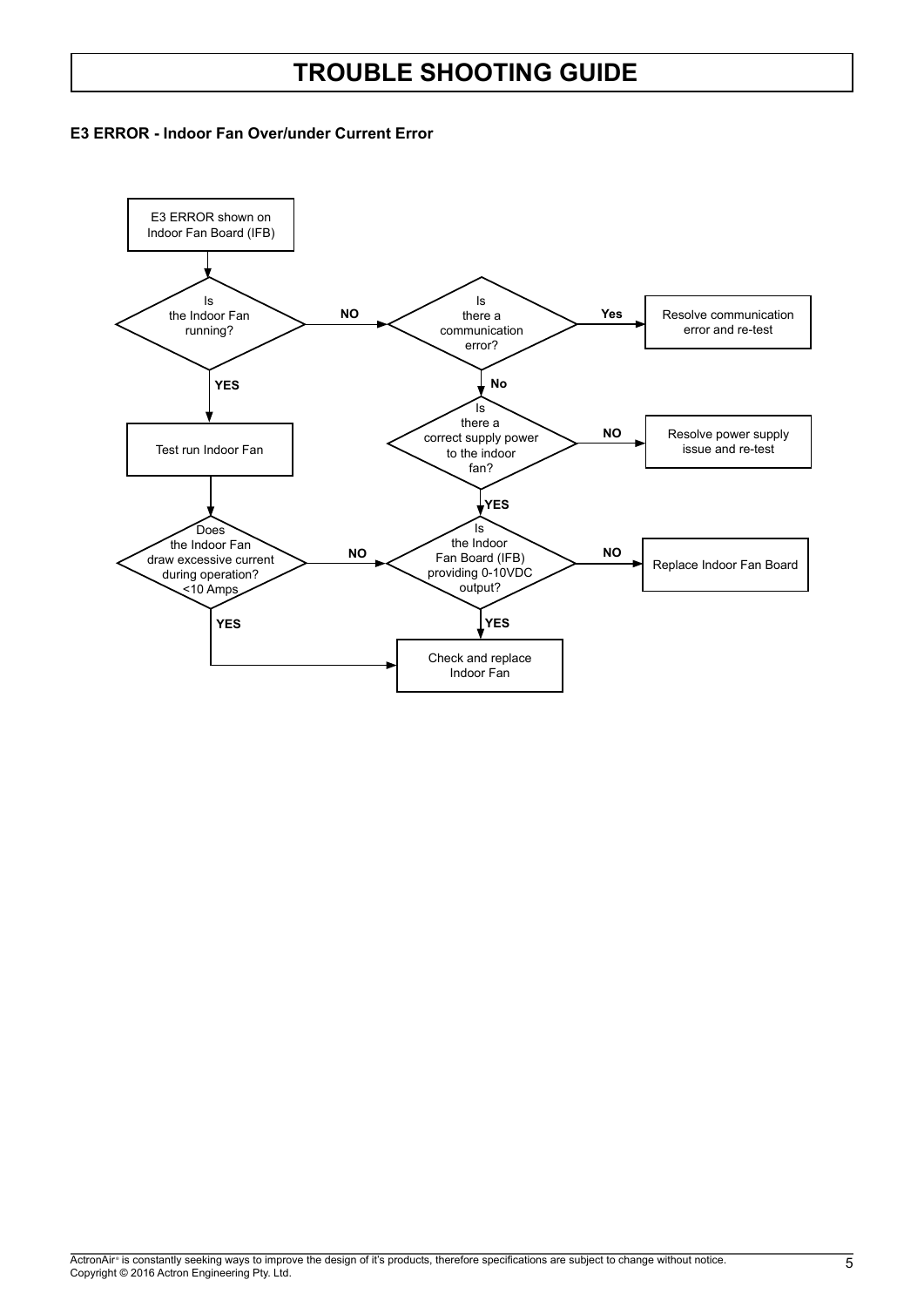#### **E3 ERROR - Indoor Fan Over/under Current Error**

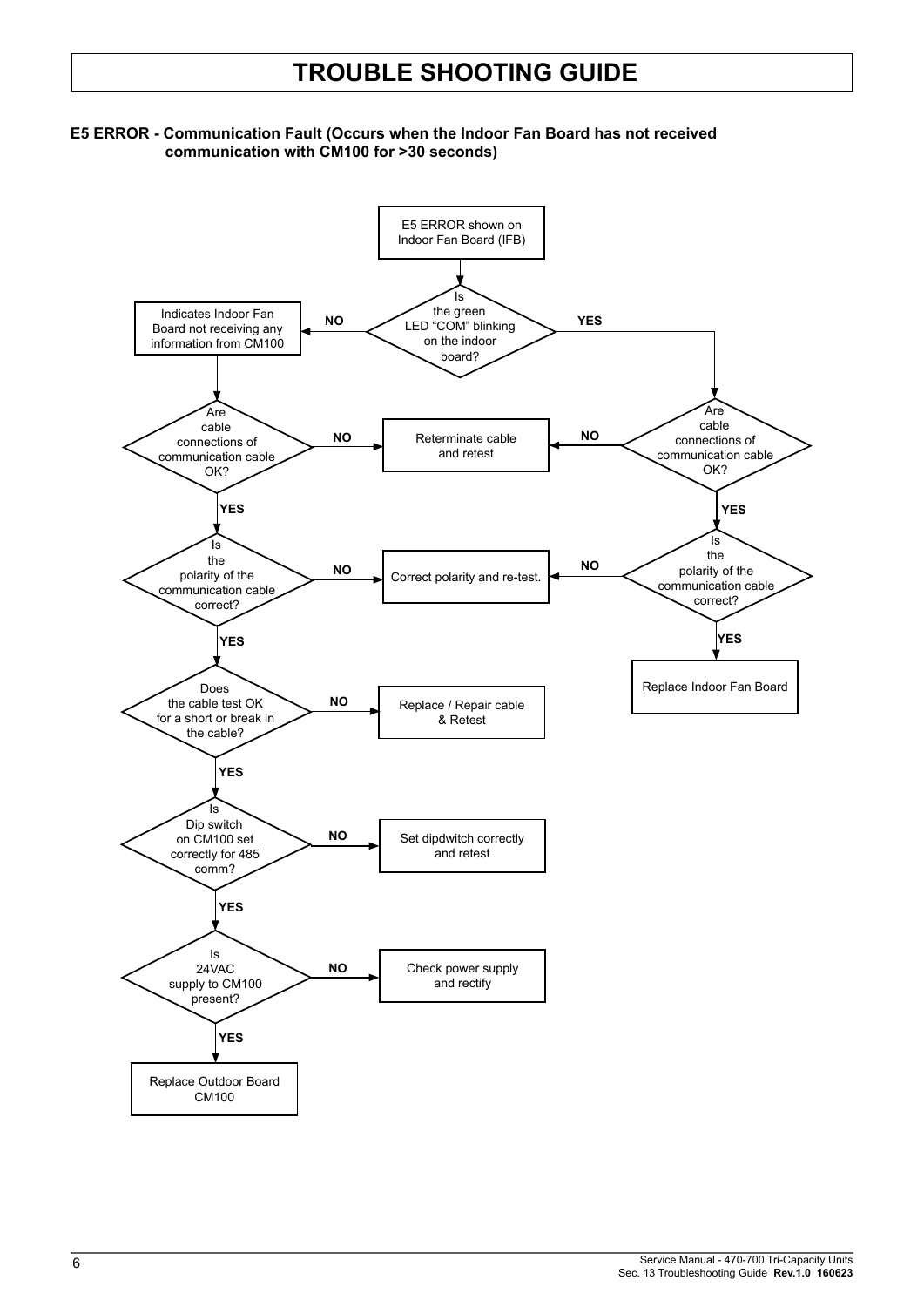#### **E5 ERROR - Communication Fault (Occurs when the Indoor Fan Board has not received communication with CM100 for >30 seconds)**

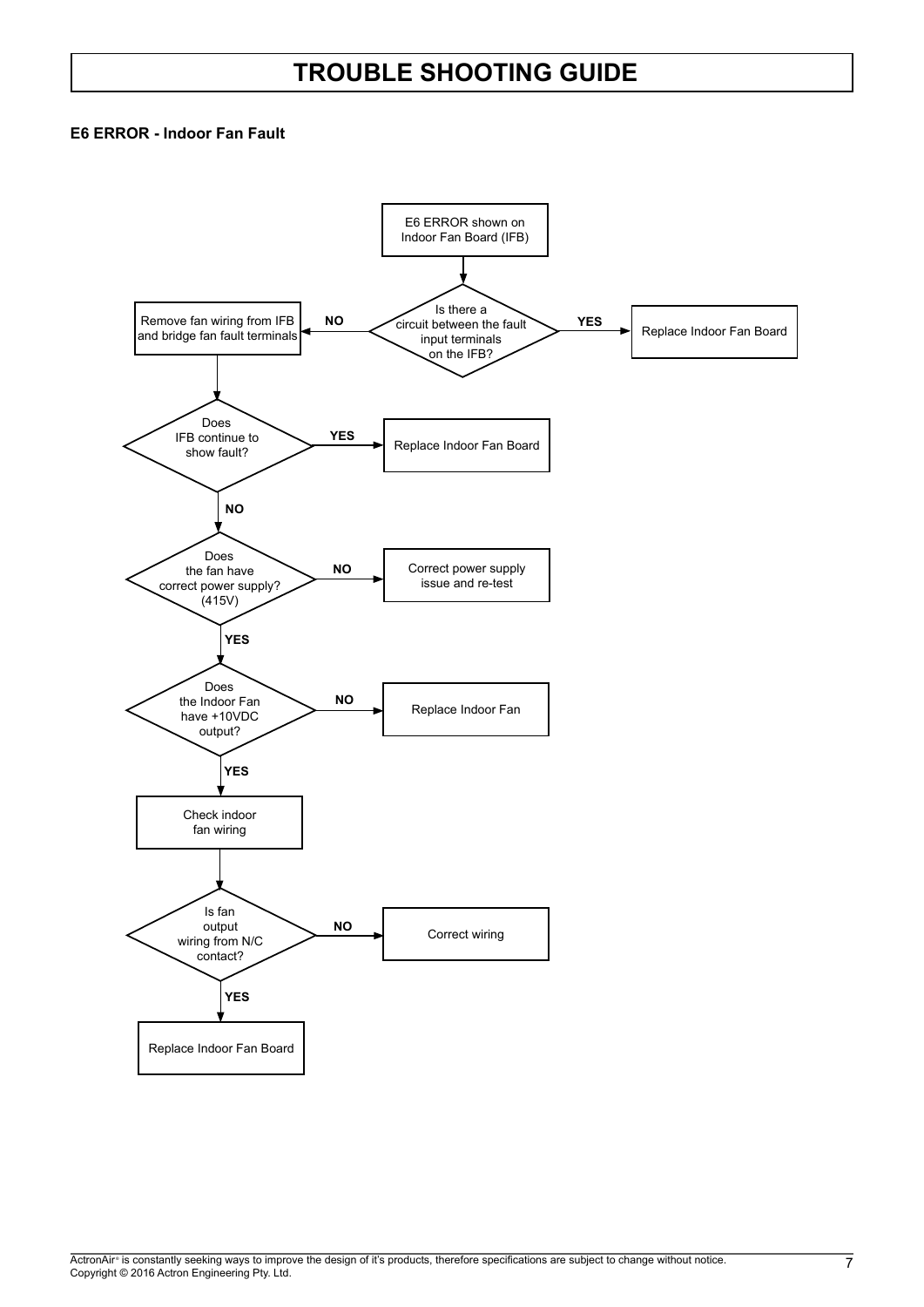#### **E6 ERROR - Indoor Fan Fault**

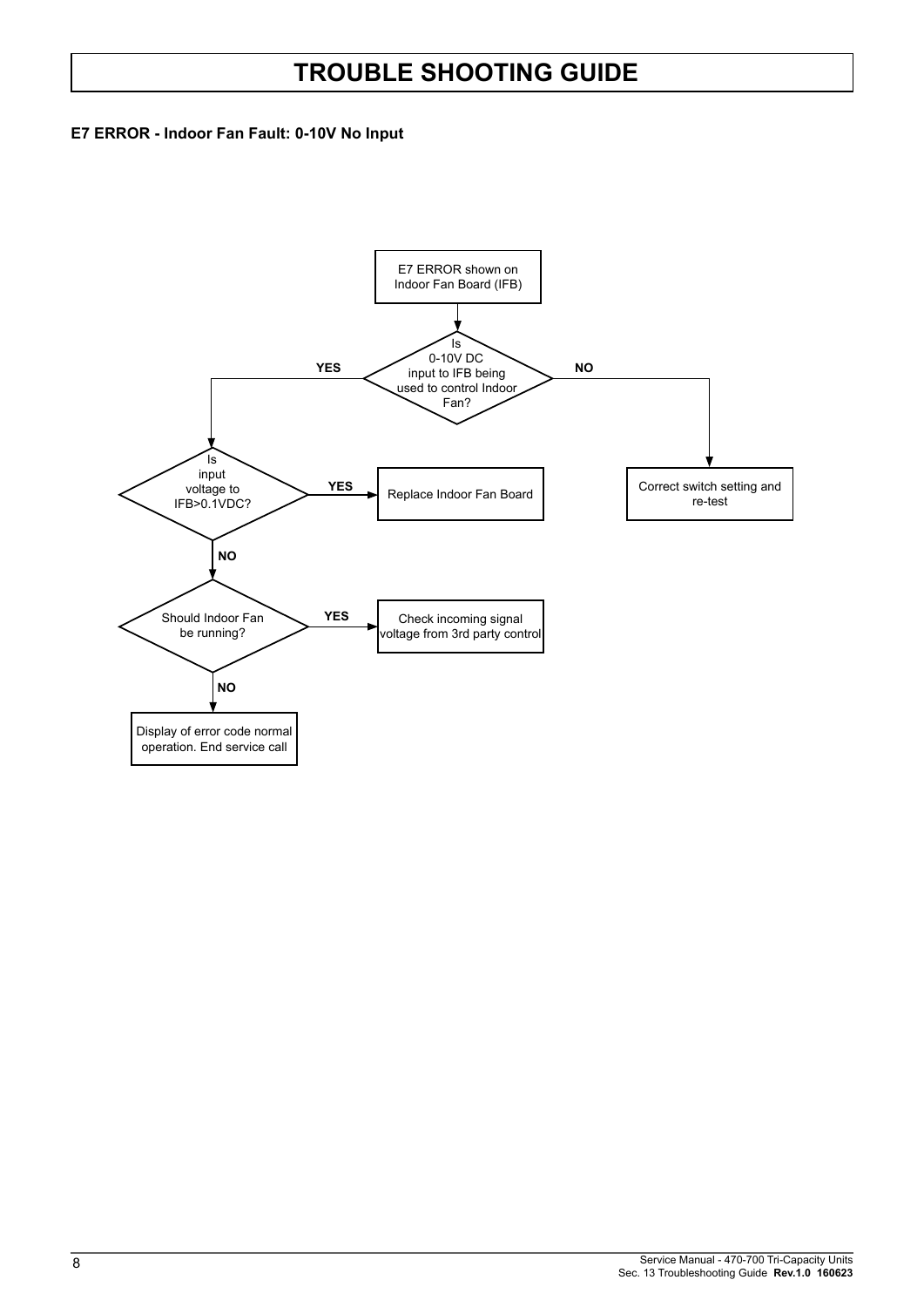#### **E7 ERROR - Indoor Fan Fault: 0-10V No Input**

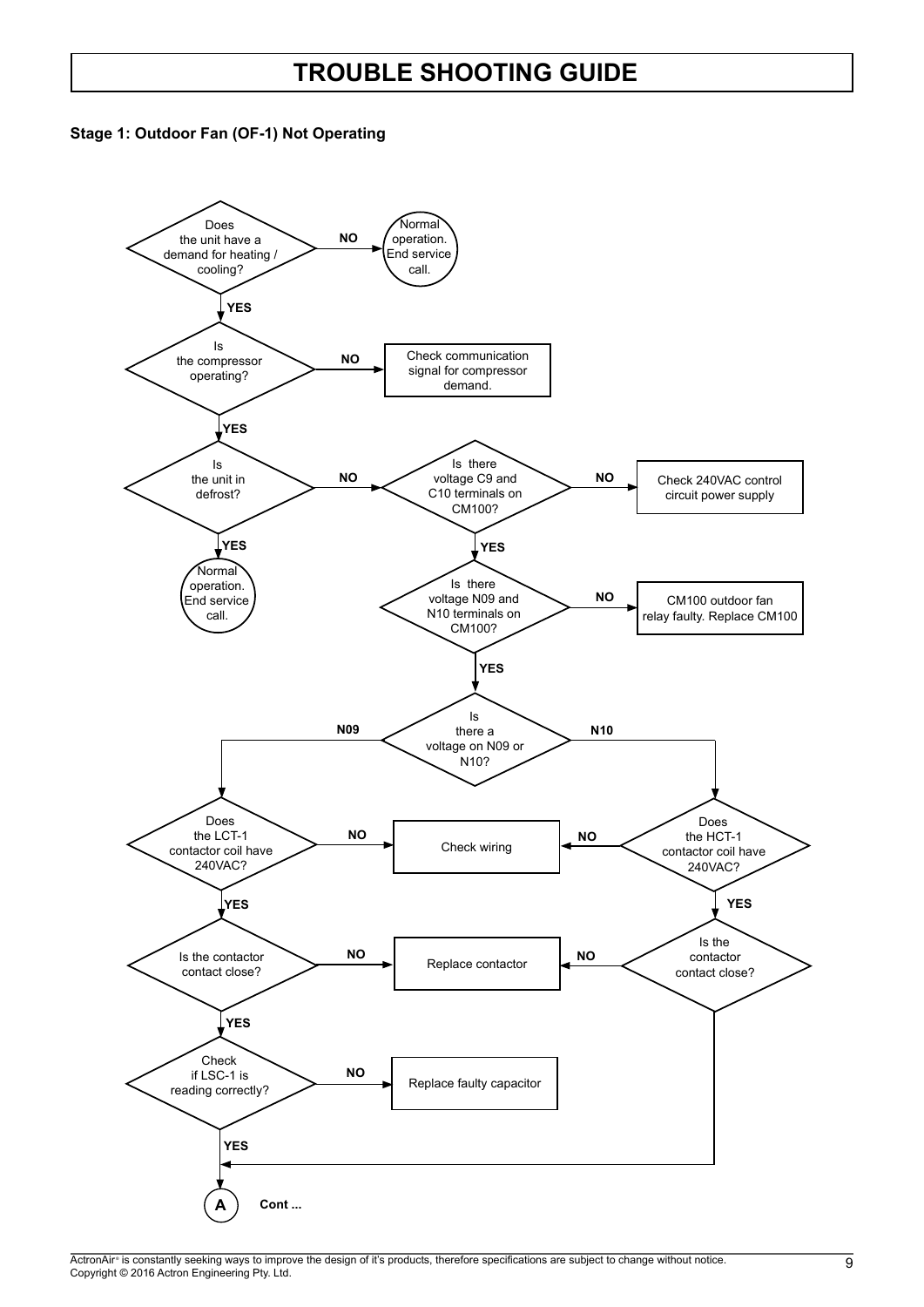

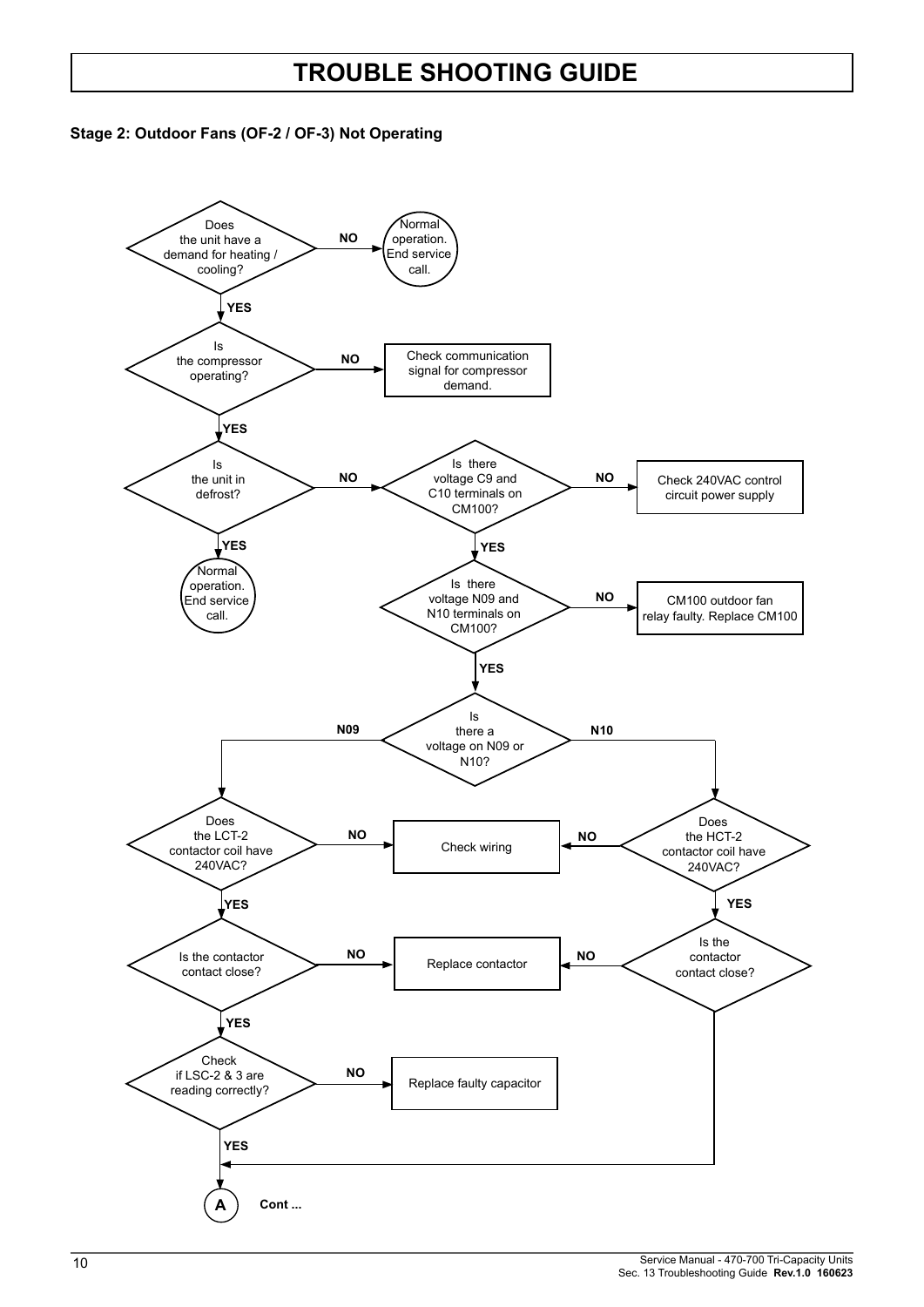

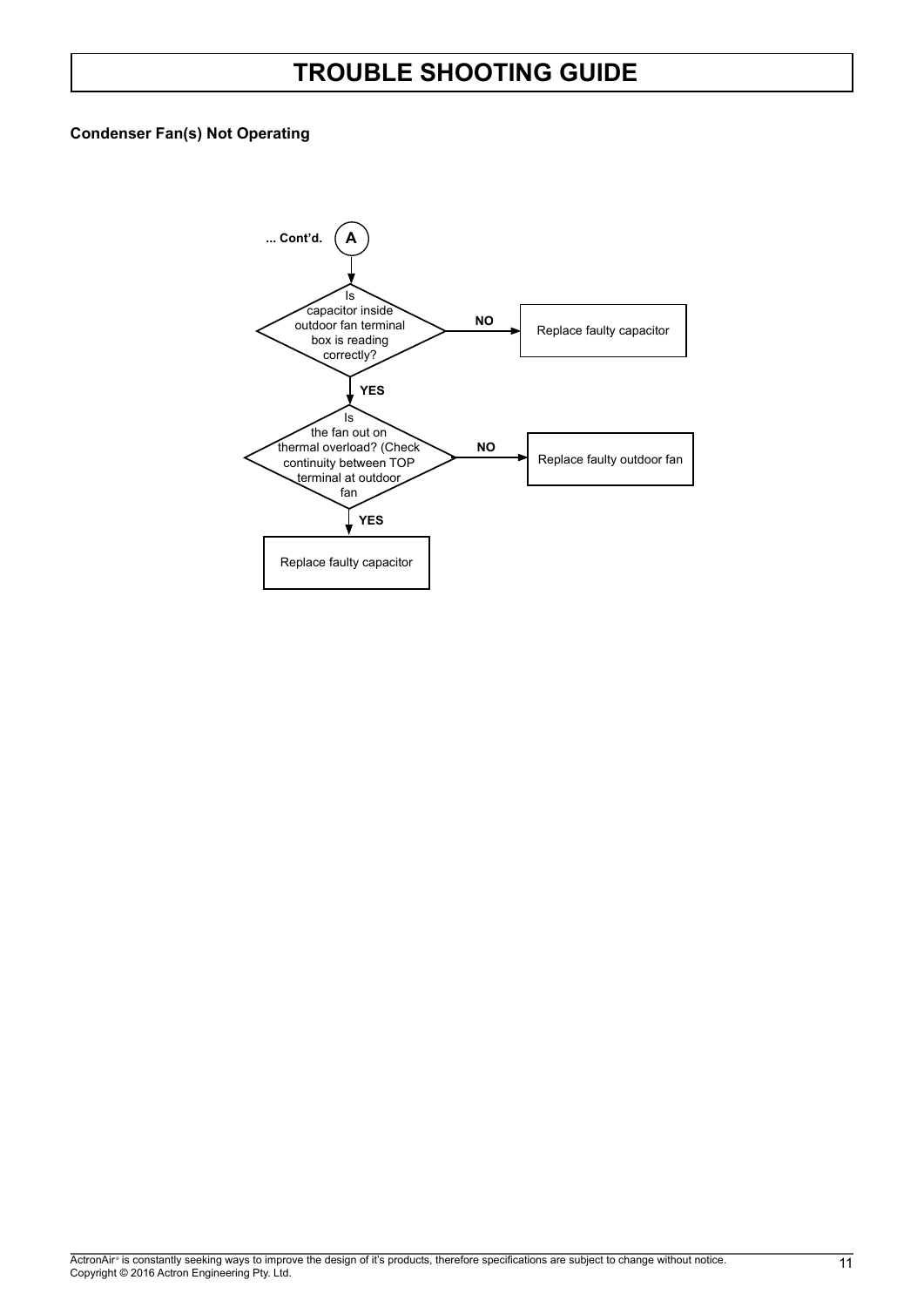#### **Condenser Fan(s) Not Operating**

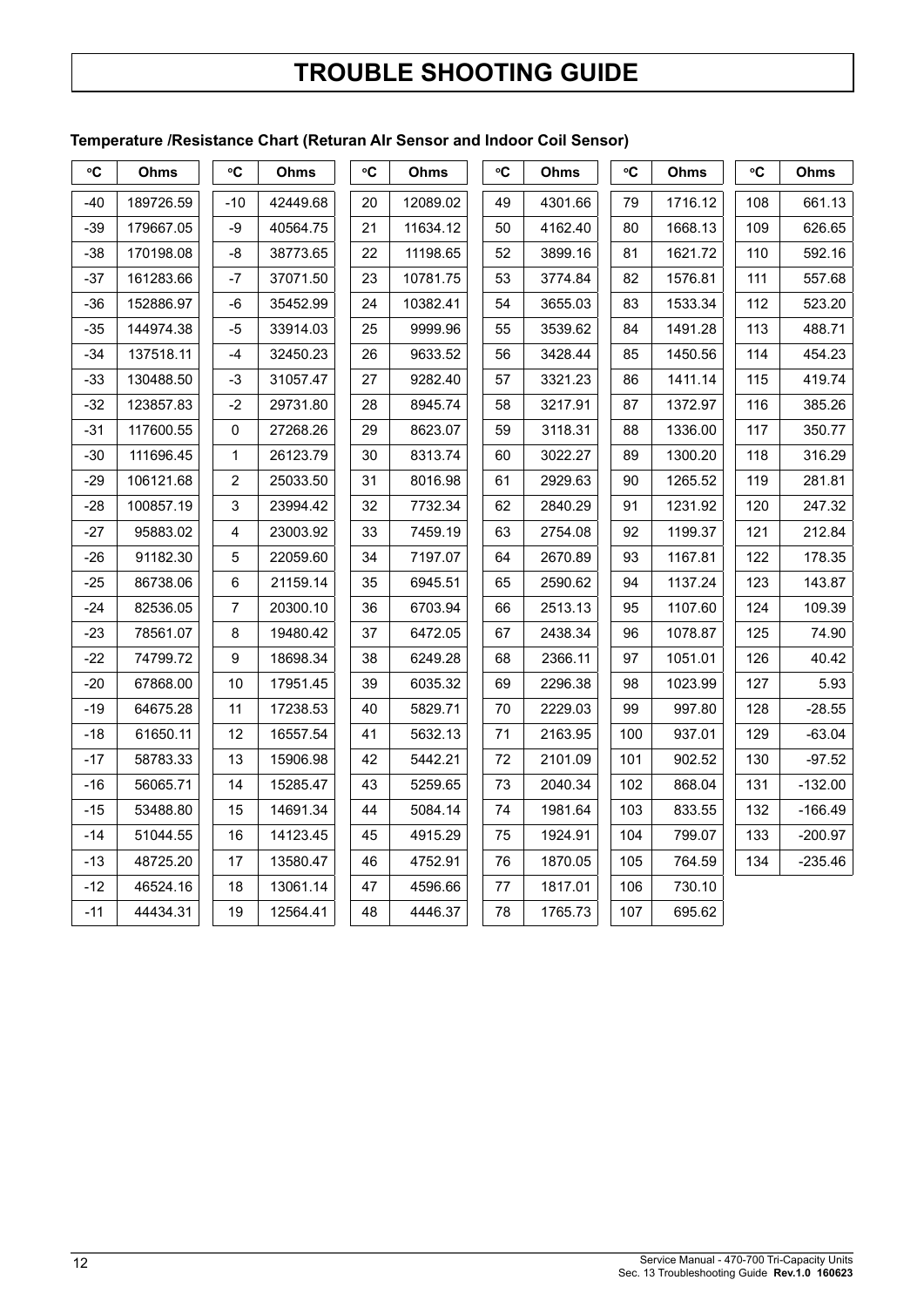#### **Temperature /Resistance Chart (Returan AIr Sensor and Indoor Coil Sensor)**

| °C    | <b>Ohms</b> | °C             | <b>Ohms</b> | °C | Ohms     | $\rm ^{\circ}C$ | Ohms    | $\rm ^{\circ}C$ | Ohms    | °C  | Ohms      |
|-------|-------------|----------------|-------------|----|----------|-----------------|---------|-----------------|---------|-----|-----------|
| -40   | 189726.59   | $-10$          | 42449.68    | 20 | 12089.02 | 49              | 4301.66 | 79              | 1716.12 | 108 | 661.13    |
| -39   | 179667.05   | -9             | 40564.75    | 21 | 11634.12 | 50              | 4162.40 | 80              | 1668.13 | 109 | 626.65    |
| $-38$ | 170198.08   | -8             | 38773.65    | 22 | 11198.65 | 52              | 3899.16 | 81              | 1621.72 | 110 | 592.16    |
| -37   | 161283.66   | -7             | 37071.50    | 23 | 10781.75 | 53              | 3774.84 | 82              | 1576.81 | 111 | 557.68    |
| $-36$ | 152886.97   | -6             | 35452.99    | 24 | 10382.41 | 54              | 3655.03 | 83              | 1533.34 | 112 | 523.20    |
| $-35$ | 144974.38   | -5             | 33914.03    | 25 | 9999.96  | 55              | 3539.62 | 84              | 1491.28 | 113 | 488.71    |
| $-34$ | 137518.11   | $-4$           | 32450.23    | 26 | 9633.52  | 56              | 3428.44 | 85              | 1450.56 | 114 | 454.23    |
| $-33$ | 130488.50   | -3             | 31057.47    | 27 | 9282.40  | 57              | 3321.23 | 86              | 1411.14 | 115 | 419.74    |
| $-32$ | 123857.83   | $-2$           | 29731.80    | 28 | 8945.74  | 58              | 3217.91 | 87              | 1372.97 | 116 | 385.26    |
| $-31$ | 117600.55   | 0              | 27268.26    | 29 | 8623.07  | 59              | 3118.31 | 88              | 1336.00 | 117 | 350.77    |
| $-30$ | 111696.45   | 1              | 26123.79    | 30 | 8313.74  | 60              | 3022.27 | 89              | 1300.20 | 118 | 316.29    |
| $-29$ | 106121.68   | $\overline{2}$ | 25033.50    | 31 | 8016.98  | 61              | 2929.63 | 90              | 1265.52 | 119 | 281.81    |
| $-28$ | 100857.19   | 3              | 23994.42    | 32 | 7732.34  | 62              | 2840.29 | 91              | 1231.92 | 120 | 247.32    |
| -27   | 95883.02    | 4              | 23003.92    | 33 | 7459.19  | 63              | 2754.08 | 92              | 1199.37 | 121 | 212.84    |
| $-26$ | 91182.30    | 5              | 22059.60    | 34 | 7197.07  | 64              | 2670.89 | 93              | 1167.81 | 122 | 178.35    |
| $-25$ | 86738.06    | 6              | 21159.14    | 35 | 6945.51  | 65              | 2590.62 | 94              | 1137.24 | 123 | 143.87    |
| $-24$ | 82536.05    | $\overline{7}$ | 20300.10    | 36 | 6703.94  | 66              | 2513.13 | 95              | 1107.60 | 124 | 109.39    |
| $-23$ | 78561.07    | 8              | 19480.42    | 37 | 6472.05  | 67              | 2438.34 | 96              | 1078.87 | 125 | 74.90     |
| $-22$ | 74799.72    | 9              | 18698.34    | 38 | 6249.28  | 68              | 2366.11 | 97              | 1051.01 | 126 | 40.42     |
| $-20$ | 67868.00    | 10             | 17951.45    | 39 | 6035.32  | 69              | 2296.38 | 98              | 1023.99 | 127 | 5.93      |
| $-19$ | 64675.28    | 11             | 17238.53    | 40 | 5829.71  | 70              | 2229.03 | 99              | 997.80  | 128 | $-28.55$  |
| -18   | 61650.11    | 12             | 16557.54    | 41 | 5632.13  | 71              | 2163.95 | 100             | 937.01  | 129 | $-63.04$  |
| $-17$ | 58783.33    | 13             | 15906.98    | 42 | 5442.21  | 72              | 2101.09 | 101             | 902.52  | 130 | $-97.52$  |
| -16   | 56065.71    | 14             | 15285.47    | 43 | 5259.65  | 73              | 2040.34 | 102             | 868.04  | 131 | $-132.00$ |
| -15   | 53488.80    | 15             | 14691.34    | 44 | 5084.14  | 74              | 1981.64 | 103             | 833.55  | 132 | $-166.49$ |
| $-14$ | 51044.55    | 16             | 14123.45    | 45 | 4915.29  | 75              | 1924.91 | 104             | 799.07  | 133 | $-200.97$ |
| $-13$ | 48725.20    | 17             | 13580.47    | 46 | 4752.91  | 76              | 1870.05 | 105             | 764.59  | 134 | $-235.46$ |
| $-12$ | 46524.16    | 18             | 13061.14    | 47 | 4596.66  | 77              | 1817.01 | 106             | 730.10  |     |           |
| $-11$ | 44434.31    | 19             | 12564.41    | 48 | 4446.37  | 78              | 1765.73 | 107             | 695.62  |     |           |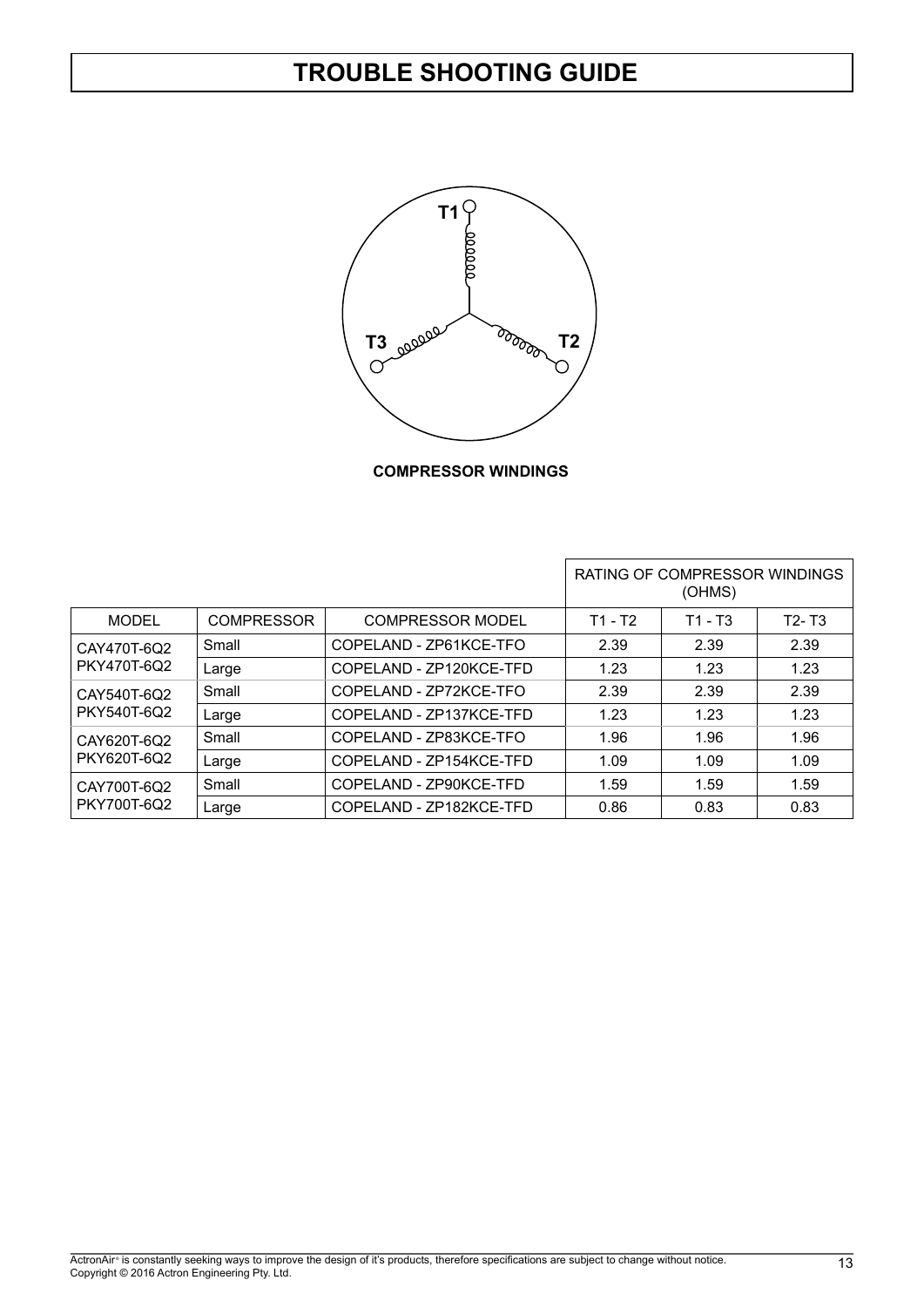

**COMPRESSOR WINDINGS**

|                            |                   |                          |         | RATING OF COMPRESSOR WINDINGS<br>(OHMS) |           |
|----------------------------|-------------------|--------------------------|---------|-----------------------------------------|-----------|
| MODEL                      | <b>COMPRESSOR</b> | COMPRESSOR MODEL         | T1 - T2 | T1 - T3                                 | $T2 - T3$ |
| CAY470T-6Q2<br>PKY470T-6Q2 | Small             | COPELAND - ZP61KCE-TFO   | 2.39    | 2.39                                    | 2.39      |
|                            | Large             | COPFI AND - 7P120KCF-TFD | 1.23    | 1.23                                    | 1.23      |
| CAY540T-6Q2<br>PKY540T-6Q2 | Small             | COPFI AND - 7P72KCF-TFO  | 2.39    | 2.39                                    | 2.39      |
|                            | Large             | COPELAND - ZP137KCE-TFD  | 1.23    | 1.23                                    | 1.23      |
| Small<br>CAY620T-6Q2       |                   | COPELAND - ZP83KCE-TFO   | 1.96    | 1.96                                    | 1.96      |
| PKY620T-6Q2                | Large             | COPELAND - ZP154KCE-TFD  | 1.09    | 1.09                                    | 1.09      |
| CAY700T-6Q2<br>PKY700T-6Q2 | Small             | COPELAND - ZP90KCE-TFD   | 1.59    | 1.59                                    | 1.59      |
|                            | Large             | COPELAND - ZP182KCE-TFD  | 0.86    | 0.83                                    | 0.83      |